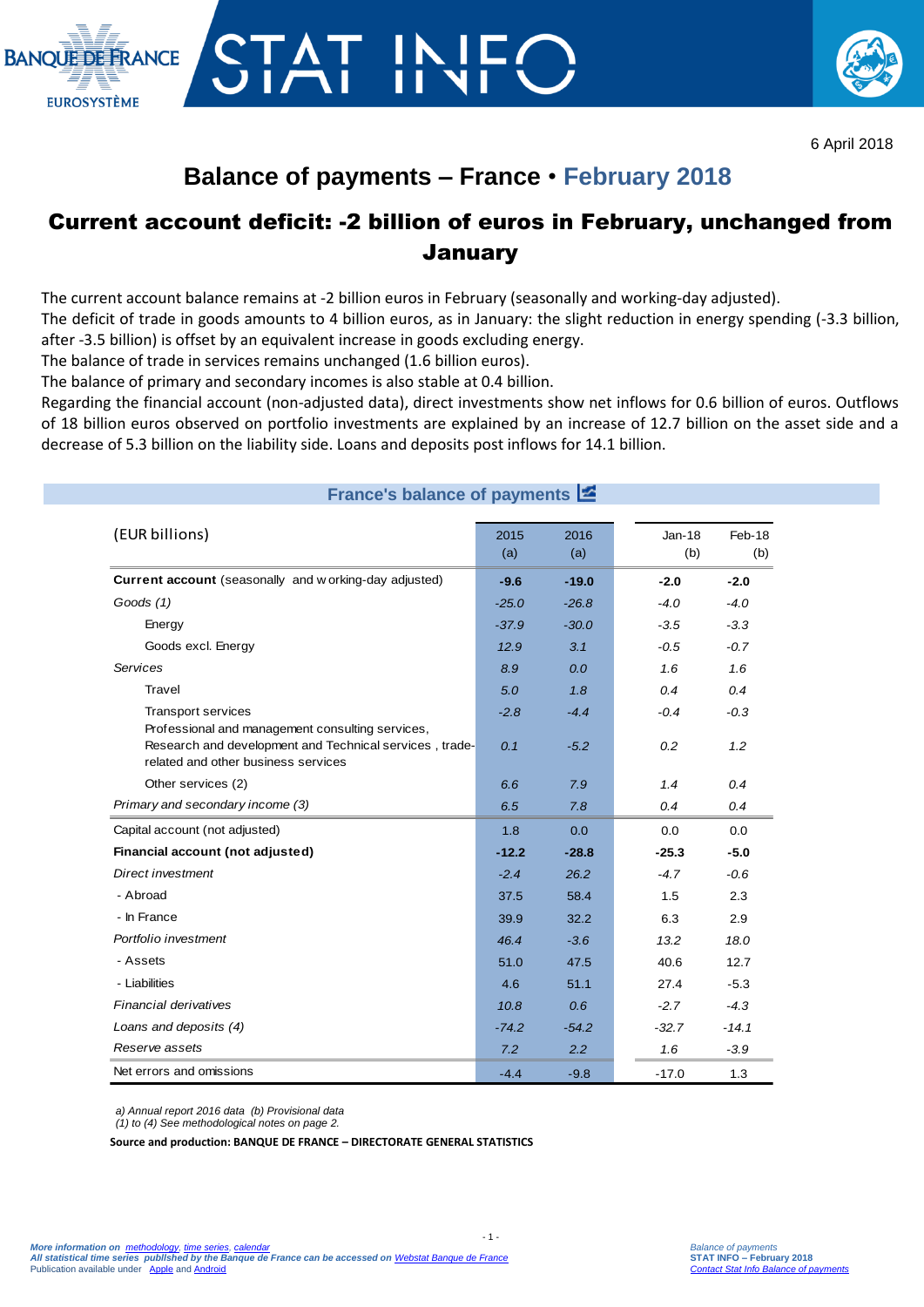



## **Balance of payments – France** • **February 2018**

### Current account deficit: -2 billion of euros in February, unchanged from **January**

The current account balance remains at -2 billion euros in February (seasonally and working-day adjusted).

The deficit of trade in goods amounts to 4 billion euros, as in January: the slight reduction in energy spending (-3.3 billion, after -3.5 billion) is offset by an equivalent increase in goods excluding energy.

The balance of trade in services remains unchanged (1.6 billion euros).

The balance of primary and secondary incomes is also stable at 0.4 billion.

Regarding the financial account (non-adjusted data), direct investments show net inflows for 0.6 billion of euros. Outflows of 18 billion euros observed on portfolio investments are explained by an increase of 12.7 billion on the asset side and a decrease of 5.3 billion on the liability side. Loans and deposits post inflows for 14.1 billion.

### **France's balance of payments**

| (EUR billions)                                                                                 | 2015<br>(a) | 2016<br>(a) | $Jan-18$<br>(b) | Feb-18<br>(b) |
|------------------------------------------------------------------------------------------------|-------------|-------------|-----------------|---------------|
| <b>Current account</b> (seasonally and w orking-day adjusted)                                  | $-9.6$      | $-19.0$     | $-2.0$          | $-2.0$        |
| Goods (1)                                                                                      | $-25.0$     | $-26.8$     | $-4.0$          | $-4.0$        |
| Energy                                                                                         | $-37.9$     | $-30.0$     | $-3.5$          | $-3.3$        |
| Goods excl. Energy                                                                             | 12.9        | 3.1         | $-0.5$          | $-0.7$        |
| <b>Services</b>                                                                                | 8.9         | 0.0         | 1.6             | 1.6           |
| Travel                                                                                         | 5.0         | 1.8         | 0.4             | 0.4           |
| <b>Transport services</b><br>Professional and management consulting services,                  | $-2.8$      | $-4.4$      | $-0.4$          | $-0.3$        |
| Research and development and Technical services, trade-<br>related and other business services | 0.1         | $-5.2$      | 0.2             | 1.2           |
| Other services (2)                                                                             | 6.6         | 7.9         | 1.4             | 0.4           |
| Primary and secondary income (3)                                                               | 6.5         | 7.8         | 0.4             | 0.4           |
| Capital account (not adjusted)                                                                 | 1.8         | 0.0         | 0.0             | 0.0           |
| Financial account (not adjusted)                                                               | $-12.2$     | $-28.8$     | $-25.3$         | $-5.0$        |
| Direct investment                                                                              | $-2.4$      | 26.2        | $-4.7$          | $-0.6$        |
| - Abroad                                                                                       | 37.5        | 58.4        | 1.5             | 2.3           |
| - In France                                                                                    | 39.9        | 32.2        | 6.3             | 2.9           |
| Portfolio investment                                                                           | 46.4        | $-3.6$      | 13.2            | 18.0          |
| - Assets                                                                                       | 51.0        | 47.5        | 40.6            | 12.7          |
| - Liabilities                                                                                  | 4.6         | 51.1        | 27.4            | $-5.3$        |
| Financial derivatives                                                                          | 10.8        | 0.6         | $-2.7$          | $-4.3$        |
| Loans and deposits (4)                                                                         | $-74.2$     | $-54.2$     | $-32.7$         | $-14.1$       |
| Reserve assets                                                                                 | 7.2         | 2.2         | 1.6             | $-3.9$        |
| Net errors and omissions                                                                       | $-4.4$      | $-9.8$      | $-17.0$         | 1.3           |

 $-1$ .

*a) Annual report 2016 data (b) Provisional data*

*(1) to (4) See methodological notes on page 2.*

**Source and production: BANQUE DE FRANCE – DIRECTORATE GENERAL STATISTICS**